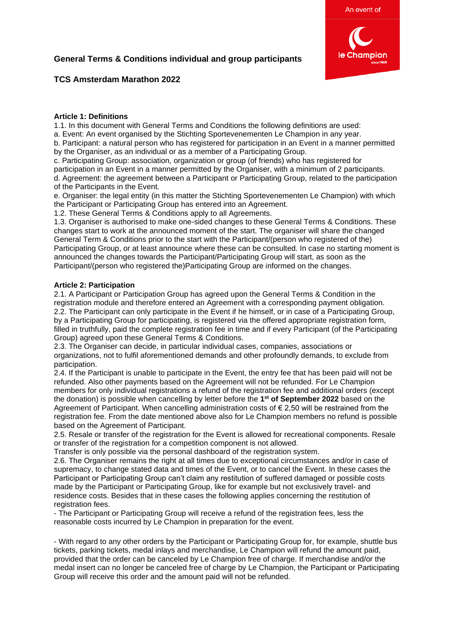

# **TCS Amsterdam Marathon 2022**

# **Article 1: Definitions**

1.1. In this document with General Terms and Conditions the following definitions are used: a. Event: An event organised by the Stichting Sportevenementen Le Champion in any year. b. Participant: a natural person who has registered for participation in an Event in a manner permitted by the Organiser, as an individual or as a member of a Participating Group.

c. Participating Group: association, organization or group (of friends) who has registered for participation in an Event in a manner permitted by the Organiser, with a minimum of 2 participants. d. Agreement: the agreement between a Participant or Participating Group, related to the participation of the Participants in the Event.

e. Organiser: the legal entity (in this matter the Stichting Sportevenementen Le Champion) with which the Participant or Participating Group has entered into an Agreement.

1.2. These General Terms & Conditions apply to all Agreements.

1.3. Organiser is authorised to make one-sided changes to these General Terms & Conditions. These changes start to work at the announced moment of the start. The organiser will share the changed General Term & Conditions prior to the start with the Participant/(person who registered of the) Participating Group, or at least announce where these can be consulted. In case no starting moment is announced the changes towards the Participant/Participating Group will start, as soon as the Participant/(person who registered the)Participating Group are informed on the changes.

# **Article 2: Participation**

2.1. A Participant or Participation Group has agreed upon the General Terms & Condition in the registration module and therefore entered an Agreement with a corresponding payment obligation. 2.2. The Participant can only participate in the Event if he himself, or in case of a Participating Group, by a Participating Group for participating, is registered via the offered appropriate registration form, filled in truthfully, paid the complete registration fee in time and if every Participant (of the Participating Group) agreed upon these General Terms & Conditions.

2.3. The Organiser can decide, in particular individual cases, companies, associations or organizations, not to fulfil aforementioned demands and other profoundly demands, to exclude from participation.

2.4. If the Participant is unable to participate in the Event, the entry fee that has been paid will not be refunded. Also other payments based on the Agreement will not be refunded. For Le Champion members for only individual registrations a refund of the registration fee and additional orders (except the donation) is possible when cancelling by letter before the **1 st of September 2022** based on the Agreement of Participant. When cancelling administration costs of  $\epsilon$  2,50 will be restrained from the registration fee. From the date mentioned above also for Le Champion members no refund is possible based on the Agreement of Participant.

2.5. Resale or transfer of the registration for the Event is allowed for recreational components. Resale or transfer of the registration for a competition component is not allowed.

Transfer is only possible via the personal dashboard of the registration system.

2.6. The Organiser remains the right at all times due to exceptional circumstances and/or in case of supremacy, to change stated data and times of the Event, or to cancel the Event. In these cases the Participant or Participating Group can't claim any restitution of suffered damaged or possible costs made by the Participant or Participating Group, like for example but not exclusively travel- and residence costs. Besides that in these cases the following applies concerning the restitution of registration fees.

- The Participant or Participating Group will receive a refund of the registration fees, less the reasonable costs incurred by Le Champion in preparation for the event.

- With regard to any other orders by the Participant or Participating Group for, for example, shuttle bus tickets, parking tickets, medal inlays and merchandise, Le Champion will refund the amount paid, provided that the order can be canceled by Le Champion free of charge. If merchandise and/or the medal insert can no longer be canceled free of charge by Le Champion, the Participant or Participating Group will receive this order and the amount paid will not be refunded.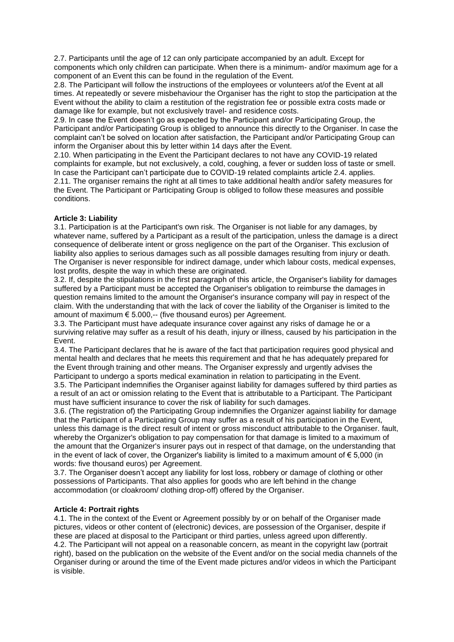2.7. Participants until the age of 12 can only participate accompanied by an adult. Except for components which only children can participate. When there is a minimum- and/or maximum age for a component of an Event this can be found in the regulation of the Event.

2.8. The Participant will follow the instructions of the employees or volunteers at/of the Event at all times. At repeatedly or severe misbehaviour the Organiser has the right to stop the participation at the Event without the ability to claim a restitution of the registration fee or possible extra costs made or damage like for example, but not exclusively travel- and residence costs.

2.9. In case the Event doesn't go as expected by the Participant and/or Participating Group, the Participant and/or Participating Group is obliged to announce this directly to the Organiser. In case the complaint can't be solved on location after satisfaction, the Participant and/or Participating Group can inform the Organiser about this by letter within 14 days after the Event.

2.10. When participating in the Event the Participant declares to not have any COVID-19 related complaints for example, but not exclusively, a cold, coughing, a fever or sudden loss of taste or smell. In case the Participant can't participate due to COVID-19 related complaints article 2.4. applies. 2.11. The organiser remains the right at all times to take additional health and/or safety measures for the Event. The Participant or Participating Group is obliged to follow these measures and possible conditions.

# **Article 3: Liability**

3.1. Participation is at the Participant's own risk. The Organiser is not liable for any damages, by whatever name, suffered by a Participant as a result of the participation, unless the damage is a direct consequence of deliberate intent or gross negligence on the part of the Organiser. This exclusion of liability also applies to serious damages such as all possible damages resulting from injury or death. The Organiser is never responsible for indirect damage, under which labour costs, medical expenses, lost profits, despite the way in which these are originated.

3.2. If, despite the stipulations in the first paragraph of this article, the Organiser's liability for damages suffered by a Participant must be accepted the Organiser's obligation to reimburse the damages in question remains limited to the amount the Organiser's insurance company will pay in respect of the claim. With the understanding that with the lack of cover the liability of the Organiser is limited to the amount of maximum € 5.000,-- (five thousand euros) per Agreement.

3.3. The Participant must have adequate insurance cover against any risks of damage he or a surviving relative may suffer as a result of his death, injury or illness, caused by his participation in the Event.

3.4. The Participant declares that he is aware of the fact that participation requires good physical and mental health and declares that he meets this requirement and that he has adequately prepared for the Event through training and other means. The Organiser expressly and urgently advises the Participant to undergo a sports medical examination in relation to participating in the Event.

3.5. The Participant indemnifies the Organiser against liability for damages suffered by third parties as a result of an act or omission relating to the Event that is attributable to a Participant. The Participant must have sufficient insurance to cover the risk of liability for such damages.

3.6. (The registration of) the Participating Group indemnifies the Organizer against liability for damage that the Participant of a Participating Group may suffer as a result of his participation in the Event, unless this damage is the direct result of intent or gross misconduct attributable to the Organiser. fault, whereby the Organizer's obligation to pay compensation for that damage is limited to a maximum of the amount that the Organizer's insurer pays out in respect of that damage, on the understanding that in the event of lack of cover, the Organizer's liability is limited to a maximum amount of  $\epsilon$  5,000 (in words: five thousand euros) per Agreement.

3.7. The Organiser doesn't accept any liability for lost loss, robbery or damage of clothing or other possessions of Participants. That also applies for goods who are left behind in the change accommodation (or cloakroom/ clothing drop-off) offered by the Organiser.

# **Article 4: Portrait rights**

4.1. The in the context of the Event or Agreement possibly by or on behalf of the Organiser made pictures, videos or other content of (electronic) devices, are possession of the Organiser, despite if these are placed at disposal to the Participant or third parties, unless agreed upon differently. 4.2. The Participant will not appeal on a reasonable concern, as meant in the copyright law (portrait right), based on the publication on the website of the Event and/or on the social media channels of the Organiser during or around the time of the Event made pictures and/or videos in which the Participant is visible.